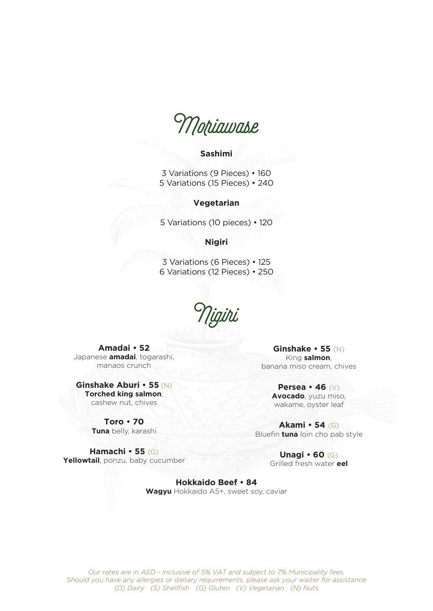Moriawase

## **Sashimi**

3 Variations (9 Pieces) • 160 5 Variations (15 Pieces) • 240

## **Vegetarian**

5 Variations (10 pieces) • 120

## **Nigiri**

3 Variations (6 Pieces) • 125 6 Variations (12 Pieces) • 250

Nigiri

**Amadai • 52** Japanese **amadai**, togarashi, manaos crunch

**Ginshake Aburi • 55** (N) **Torched king salmon**, cashew nut, chives

> **Toro • 70 Tuna** belly, karashi

**Hamachi • 55** (G) **Yellowtail**, ponzu, baby cucumber

**Ginshake • 55** (N) King **salmon**, banana miso cream, chives

> **Persea • 46** (V) **Avocado**, yuzu miso, wakame, oyster leaf

**Akami • 54** (G) Bluefin **tuna** loin cho pab style

> **Unagi • 60** (G) Grilled fresh water **eel**

**Hokkaido Beef • 84 Wagyu** Hokkaido A5+, sweet soy, caviar

*Our rates are in AED - Inclusive of 5% VAT and subject to 7% Municipality fees. Should you have any allergies or dietary requirements, please ask your waiter for assistance (D) Dairy (S) Shellfish (G) Gluten (V) Vegetarian (N) Nuts*